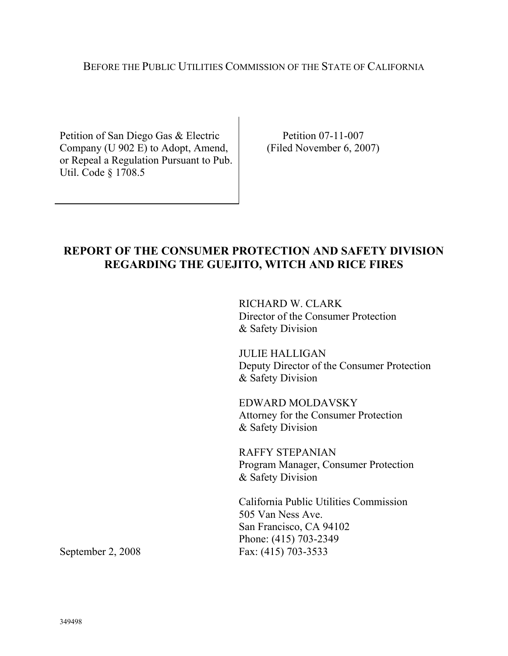#### BEFORE THE PUBLIC UTILITIES COMMISSION OF THE STATE OF CALIFORNIA

Petition of San Diego Gas & Electric Company (U 902 E) to Adopt, Amend, or Repeal a Regulation Pursuant to Pub. Util. Code § 1708.5

Petition 07-11-007 (Filed November 6, 2007)

## **REPORT OF THE CONSUMER PROTECTION AND SAFETY DIVISION REGARDING THE GUEJITO, WITCH AND RICE FIRES**

RICHARD W. CLARK Director of the Consumer Protection & Safety Division

JULIE HALLIGAN Deputy Director of the Consumer Protection & Safety Division

EDWARD MOLDAVSKY Attorney for the Consumer Protection & Safety Division

RAFFY STEPANIAN Program Manager, Consumer Protection & Safety Division

California Public Utilities Commission 505 Van Ness Ave. San Francisco, CA 94102 Phone: (415) 703-2349 September 2, 2008 Fax: (415) 703-3533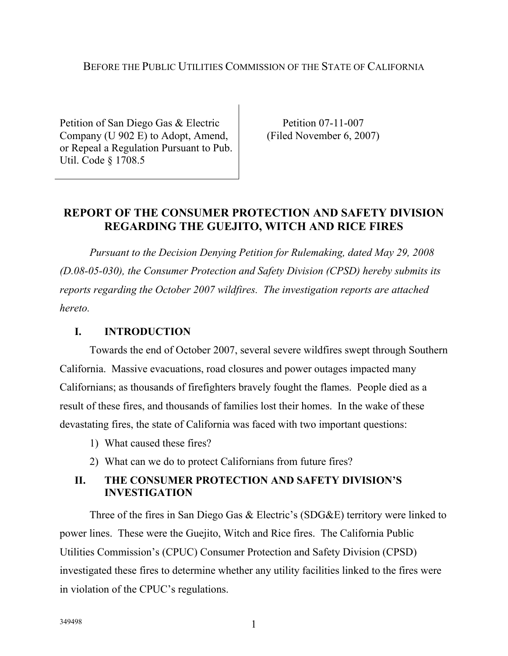#### BEFORE THE PUBLIC UTILITIES COMMISSION OF THE STATE OF CALIFORNIA

Petition of San Diego Gas & Electric Company (U 902 E) to Adopt, Amend, or Repeal a Regulation Pursuant to Pub. Util. Code § 1708.5

Petition 07-11-007 (Filed November 6, 2007)

## **REPORT OF THE CONSUMER PROTECTION AND SAFETY DIVISION REGARDING THE GUEJITO, WITCH AND RICE FIRES**

*Pursuant to the Decision Denying Petition for Rulemaking, dated May 29, 2008 (D.08-05-030), the Consumer Protection and Safety Division (CPSD) hereby submits its reports regarding the October 2007 wildfires. The investigation reports are attached hereto.* 

#### **I. INTRODUCTION**

 Towards the end of October 2007, several severe wildfires swept through Southern California. Massive evacuations, road closures and power outages impacted many Californians; as thousands of firefighters bravely fought the flames. People died as a result of these fires, and thousands of families lost their homes. In the wake of these devastating fires, the state of California was faced with two important questions:

- 1) What caused these fires?
- 2) What can we do to protect Californians from future fires?

### **II. THE CONSUMER PROTECTION AND SAFETY DIVISION'S INVESTIGATION**

Three of the fires in San Diego Gas & Electric's (SDG&E) territory were linked to power lines. These were the Guejito, Witch and Rice fires. The California Public Utilities Commission's (CPUC) Consumer Protection and Safety Division (CPSD) investigated these fires to determine whether any utility facilities linked to the fires were in violation of the CPUC's regulations.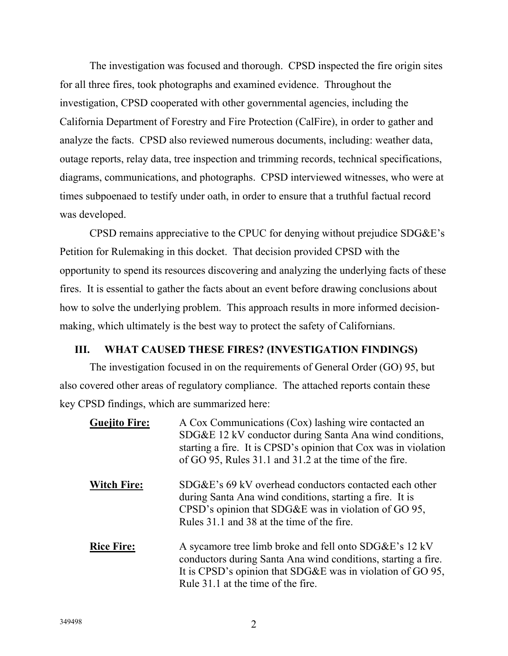The investigation was focused and thorough. CPSD inspected the fire origin sites for all three fires, took photographs and examined evidence. Throughout the investigation, CPSD cooperated with other governmental agencies, including the California Department of Forestry and Fire Protection (CalFire), in order to gather and analyze the facts. CPSD also reviewed numerous documents, including: weather data, outage reports, relay data, tree inspection and trimming records, technical specifications, diagrams, communications, and photographs. CPSD interviewed witnesses, who were at times subpoenaed to testify under oath, in order to ensure that a truthful factual record was developed.

CPSD remains appreciative to the CPUC for denying without prejudice SDG&E's Petition for Rulemaking in this docket. That decision provided CPSD with the opportunity to spend its resources discovering and analyzing the underlying facts of these fires. It is essential to gather the facts about an event before drawing conclusions about how to solve the underlying problem. This approach results in more informed decisionmaking, which ultimately is the best way to protect the safety of Californians.

#### **III. WHAT CAUSED THESE FIRES? (INVESTIGATION FINDINGS)**

The investigation focused in on the requirements of General Order (GO) 95, but also covered other areas of regulatory compliance. The attached reports contain these key CPSD findings, which are summarized here:

| <b>Guejito Fire:</b> | A Cox Communications (Cox) lashing wire contacted an<br>SDG&E 12 kV conductor during Santa Ana wind conditions,<br>starting a fire. It is CPSD's opinion that Cox was in violation<br>of GO 95, Rules 31.1 and 31.2 at the time of the fire. |
|----------------------|----------------------------------------------------------------------------------------------------------------------------------------------------------------------------------------------------------------------------------------------|
| <b>Witch Fire:</b>   | SDG&E's 69 kV overhead conductors contacted each other<br>during Santa Ana wind conditions, starting a fire. It is<br>CPSD's opinion that SDG&E was in violation of GO 95,<br>Rules 31.1 and 38 at the time of the fire.                     |
| <b>Rice Fire:</b>    | A sycamore tree limb broke and fell onto SDG&E's 12 kV<br>conductors during Santa Ana wind conditions, starting a fire.<br>It is CPSD's opinion that SDG&E was in violation of GO 95,<br>Rule 31.1 at the time of the fire.                  |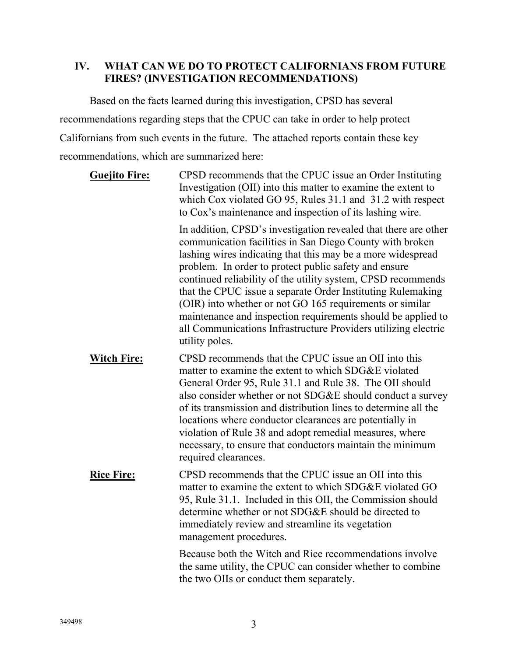## **IV. WHAT CAN WE DO TO PROTECT CALIFORNIANS FROM FUTURE FIRES? (INVESTIGATION RECOMMENDATIONS)**

Based on the facts learned during this investigation, CPSD has several recommendations regarding steps that the CPUC can take in order to help protect Californians from such events in the future. The attached reports contain these key recommendations, which are summarized here:

| <b>Guejito Fire:</b> | CPSD recommends that the CPUC issue an Order Instituting<br>Investigation (OII) into this matter to examine the extent to<br>which Cox violated GO 95, Rules 31.1 and 31.2 with respect<br>to Cox's maintenance and inspection of its lashing wire.                                                                                                                                                                                                                                                                                                                                                |
|----------------------|----------------------------------------------------------------------------------------------------------------------------------------------------------------------------------------------------------------------------------------------------------------------------------------------------------------------------------------------------------------------------------------------------------------------------------------------------------------------------------------------------------------------------------------------------------------------------------------------------|
|                      | In addition, CPSD's investigation revealed that there are other<br>communication facilities in San Diego County with broken<br>lashing wires indicating that this may be a more widespread<br>problem. In order to protect public safety and ensure<br>continued reliability of the utility system, CPSD recommends<br>that the CPUC issue a separate Order Instituting Rulemaking<br>(OIR) into whether or not GO 165 requirements or similar<br>maintenance and inspection requirements should be applied to<br>all Communications Infrastructure Providers utilizing electric<br>utility poles. |
| <b>Witch Fire:</b>   | CPSD recommends that the CPUC issue an OII into this<br>matter to examine the extent to which SDG&E violated<br>General Order 95, Rule 31.1 and Rule 38. The OII should<br>also consider whether or not SDG&E should conduct a survey<br>of its transmission and distribution lines to determine all the<br>locations where conductor clearances are potentially in<br>violation of Rule 38 and adopt remedial measures, where<br>necessary, to ensure that conductors maintain the minimum<br>required clearances.                                                                                |
| <b>Rice Fire:</b>    | CPSD recommends that the CPUC issue an OII into this<br>matter to examine the extent to which SDG&E violated GO<br>95, Rule 31.1. Included in this OII, the Commission should<br>determine whether or not SDG&E should be directed to<br>immediately review and streamline its vegetation<br>management procedures.                                                                                                                                                                                                                                                                                |
|                      | Because both the Witch and Rice recommendations involve<br>the same utility, the CPUC can consider whether to combine<br>the two OIIs or conduct them separately.                                                                                                                                                                                                                                                                                                                                                                                                                                  |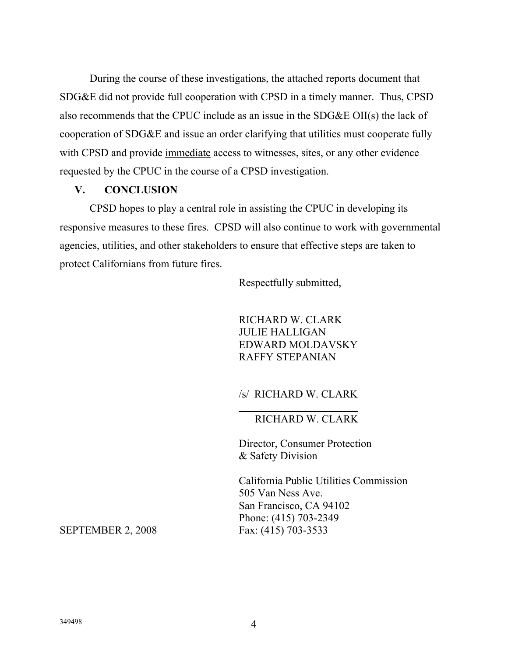During the course of these investigations, the attached reports document that SDG&E did not provide full cooperation with CPSD in a timely manner. Thus, CPSD also recommends that the CPUC include as an issue in the SDG&E OII(s) the lack of cooperation of SDG&E and issue an order clarifying that utilities must cooperate fully with CPSD and provide immediate access to witnesses, sites, or any other evidence requested by the CPUC in the course of a CPSD investigation.

#### **V. CONCLUSION**

CPSD hopes to play a central role in assisting the CPUC in developing its responsive measures to these fires. CPSD will also continue to work with governmental agencies, utilities, and other stakeholders to ensure that effective steps are taken to protect Californians from future fires.

l

Respectfully submitted,

RICHARD W. CLARK JULIE HALLIGAN EDWARD MOLDAVSKY RAFFY STEPANIAN

#### /s/ RICHARD W. CLARK

#### RICHARD W. CLARK

Director, Consumer Protection & Safety Division

California Public Utilities Commission 505 Van Ness Ave. San Francisco, CA 94102 Phone: (415) 703-2349<br>Fax: (415) 703-3533

**SEPTEMBER 2, 2008**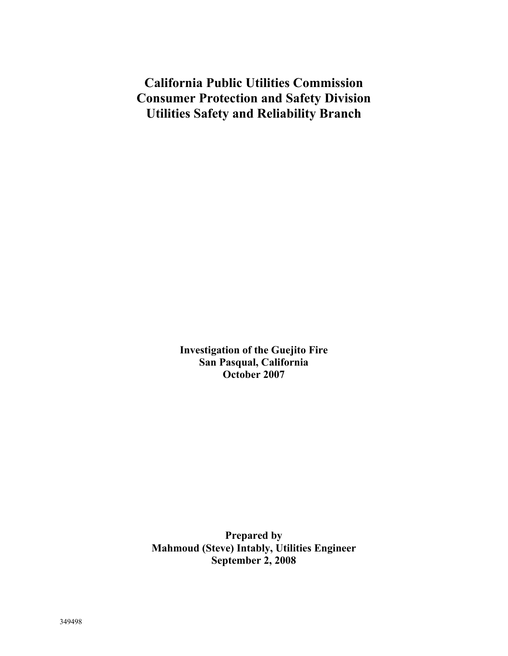**California Public Utilities Commission Consumer Protection and Safety Division Utilities Safety and Reliability Branch** 

> **Investigation of the Guejito Fire San Pasqual, California October 2007**

**Prepared by Mahmoud (Steve) Intably, Utilities Engineer September 2, 2008**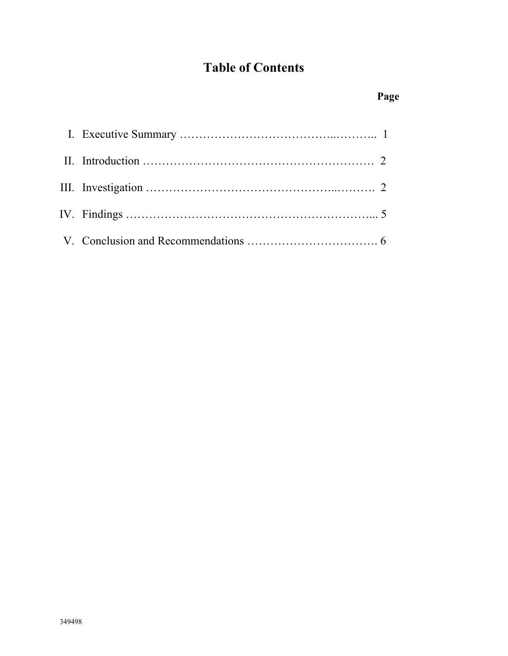# **Table of Contents**

# **Page**  Page **Page**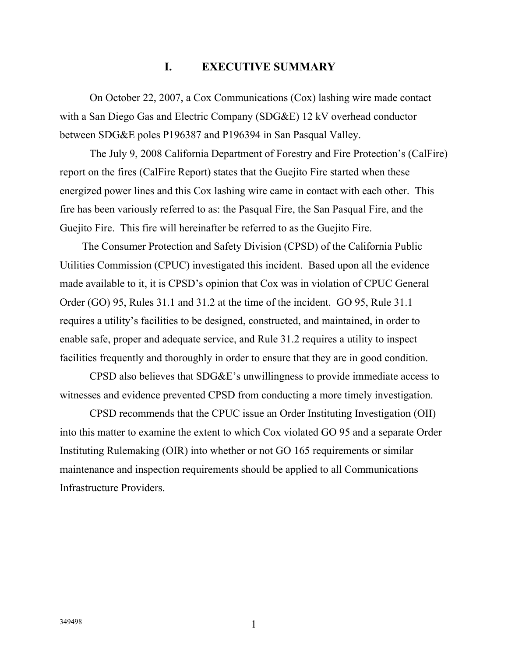#### **I. EXECUTIVE SUMMARY**

On October 22, 2007, a Cox Communications (Cox) lashing wire made contact with a San Diego Gas and Electric Company (SDG&E) 12 kV overhead conductor between SDG&E poles P196387 and P196394 in San Pasqual Valley.

The July 9, 2008 California Department of Forestry and Fire Protection's (CalFire) report on the fires (CalFire Report) states that the Guejito Fire started when these energized power lines and this Cox lashing wire came in contact with each other. This fire has been variously referred to as: the Pasqual Fire, the San Pasqual Fire, and the Guejito Fire. This fire will hereinafter be referred to as the Guejito Fire.

The Consumer Protection and Safety Division (CPSD) of the California Public Utilities Commission (CPUC) investigated this incident. Based upon all the evidence made available to it, it is CPSD's opinion that Cox was in violation of CPUC General Order (GO) 95, Rules 31.1 and 31.2 at the time of the incident. GO 95, Rule 31.1 requires a utility's facilities to be designed, constructed, and maintained, in order to enable safe, proper and adequate service, and Rule 31.2 requires a utility to inspect facilities frequently and thoroughly in order to ensure that they are in good condition.

CPSD also believes that SDG&E's unwillingness to provide immediate access to witnesses and evidence prevented CPSD from conducting a more timely investigation.

CPSD recommends that the CPUC issue an Order Instituting Investigation (OII) into this matter to examine the extent to which Cox violated GO 95 and a separate Order Instituting Rulemaking (OIR) into whether or not GO 165 requirements or similar maintenance and inspection requirements should be applied to all Communications Infrastructure Providers.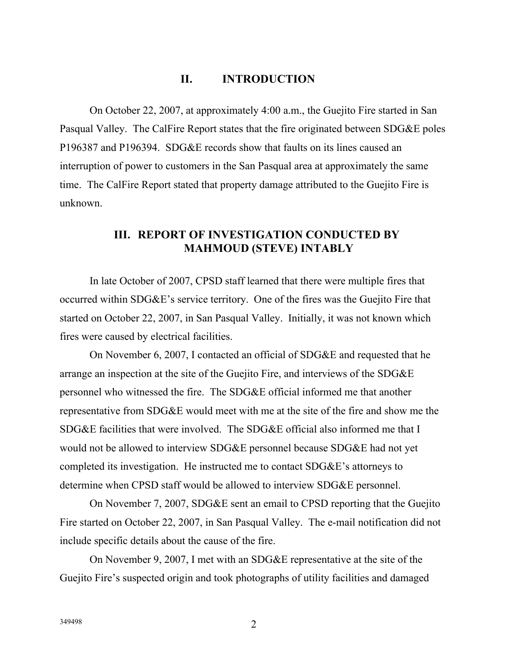## **II. INTRODUCTION**

On October 22, 2007, at approximately 4:00 a.m., the Guejito Fire started in San Pasqual Valley. The CalFire Report states that the fire originated between SDG&E poles P196387 and P196394. SDG&E records show that faults on its lines caused an interruption of power to customers in the San Pasqual area at approximately the same time. The CalFire Report stated that property damage attributed to the Guejito Fire is unknown.

### **III. REPORT OF INVESTIGATION CONDUCTED BY MAHMOUD (STEVE) INTABLY**

In late October of 2007, CPSD staff learned that there were multiple fires that occurred within SDG&E's service territory. One of the fires was the Guejito Fire that started on October 22, 2007, in San Pasqual Valley. Initially, it was not known which fires were caused by electrical facilities.

On November 6, 2007, I contacted an official of SDG&E and requested that he arrange an inspection at the site of the Guejito Fire, and interviews of the SDG&E personnel who witnessed the fire. The SDG&E official informed me that another representative from SDG&E would meet with me at the site of the fire and show me the SDG&E facilities that were involved. The SDG&E official also informed me that I would not be allowed to interview SDG&E personnel because SDG&E had not yet completed its investigation. He instructed me to contact SDG&E's attorneys to determine when CPSD staff would be allowed to interview SDG&E personnel.

On November 7, 2007, SDG&E sent an email to CPSD reporting that the Guejito Fire started on October 22, 2007, in San Pasqual Valley. The e-mail notification did not include specific details about the cause of the fire.

On November 9, 2007, I met with an SDG&E representative at the site of the Guejito Fire's suspected origin and took photographs of utility facilities and damaged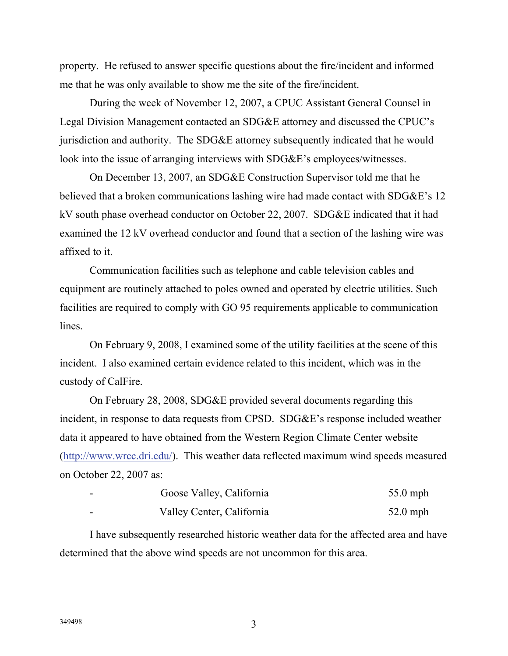property. He refused to answer specific questions about the fire/incident and informed me that he was only available to show me the site of the fire/incident.

During the week of November 12, 2007, a CPUC Assistant General Counsel in Legal Division Management contacted an SDG&E attorney and discussed the CPUC's jurisdiction and authority. The SDG&E attorney subsequently indicated that he would look into the issue of arranging interviews with SDG&E's employees/witnesses.

On December 13, 2007, an SDG&E Construction Supervisor told me that he believed that a broken communications lashing wire had made contact with SDG&E's 12 kV south phase overhead conductor on October 22, 2007. SDG&E indicated that it had examined the 12 kV overhead conductor and found that a section of the lashing wire was affixed to it.

Communication facilities such as telephone and cable television cables and equipment are routinely attached to poles owned and operated by electric utilities. Such facilities are required to comply with GO 95 requirements applicable to communication lines.

On February 9, 2008, I examined some of the utility facilities at the scene of this incident. I also examined certain evidence related to this incident, which was in the custody of CalFire.

On February 28, 2008, SDG&E provided several documents regarding this incident, in response to data requests from CPSD. SDG&E's response included weather data it appeared to have obtained from the Western Region Climate Center website (http://www.wrcc.dri.edu/). This weather data reflected maximum wind speeds measured on October 22, 2007 as:

| $\overline{\phantom{a}}$ | Goose Valley, California  | $55.0$ mph |
|--------------------------|---------------------------|------------|
|                          | Valley Center, California | $52.0$ mph |

I have subsequently researched historic weather data for the affected area and have determined that the above wind speeds are not uncommon for this area.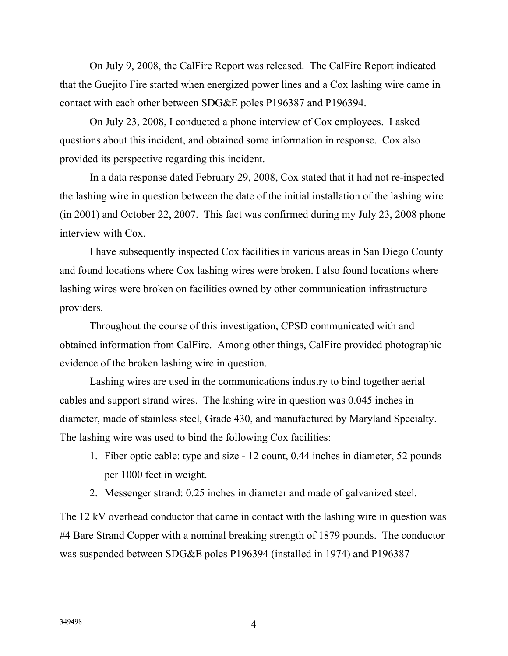On July 9, 2008, the CalFire Report was released. The CalFire Report indicated that the Guejito Fire started when energized power lines and a Cox lashing wire came in contact with each other between SDG&E poles P196387 and P196394.

On July 23, 2008, I conducted a phone interview of Cox employees. I asked questions about this incident, and obtained some information in response. Cox also provided its perspective regarding this incident.

In a data response dated February 29, 2008, Cox stated that it had not re-inspected the lashing wire in question between the date of the initial installation of the lashing wire (in 2001) and October 22, 2007. This fact was confirmed during my July 23, 2008 phone interview with Cox.

I have subsequently inspected Cox facilities in various areas in San Diego County and found locations where Cox lashing wires were broken. I also found locations where lashing wires were broken on facilities owned by other communication infrastructure providers.

Throughout the course of this investigation, CPSD communicated with and obtained information from CalFire. Among other things, CalFire provided photographic evidence of the broken lashing wire in question.

Lashing wires are used in the communications industry to bind together aerial cables and support strand wires. The lashing wire in question was 0.045 inches in diameter, made of stainless steel, Grade 430, and manufactured by Maryland Specialty. The lashing wire was used to bind the following Cox facilities:

- 1. Fiber optic cable: type and size 12 count, 0.44 inches in diameter, 52 pounds per 1000 feet in weight.
- 2. Messenger strand: 0.25 inches in diameter and made of galvanized steel.

The 12 kV overhead conductor that came in contact with the lashing wire in question was #4 Bare Strand Copper with a nominal breaking strength of 1879 pounds. The conductor was suspended between SDG&E poles P196394 (installed in 1974) and P196387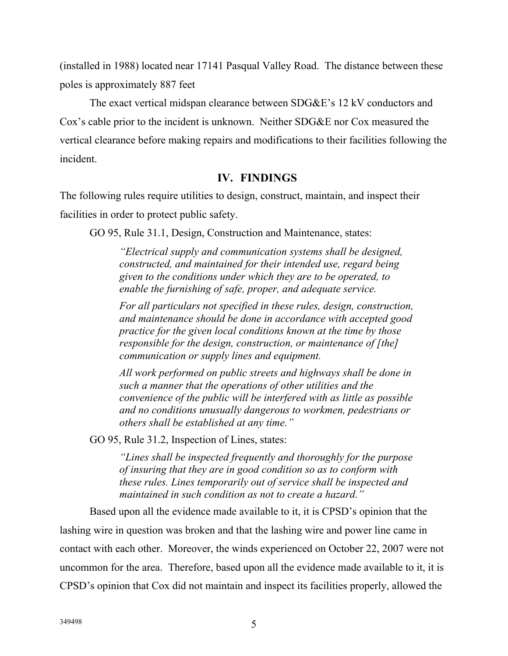(installed in 1988) located near 17141 Pasqual Valley Road. The distance between these poles is approximately 887 feet

The exact vertical midspan clearance between SDG&E's 12 kV conductors and Cox's cable prior to the incident is unknown. Neither SDG&E nor Cox measured the vertical clearance before making repairs and modifications to their facilities following the incident.

## **IV. FINDINGS**

The following rules require utilities to design, construct, maintain, and inspect their facilities in order to protect public safety.

GO 95, Rule 31.1, Design, Construction and Maintenance, states:

*"Electrical supply and communication systems shall be designed, constructed, and maintained for their intended use, regard being given to the conditions under which they are to be operated, to enable the furnishing of safe, proper, and adequate service.* 

*For all particulars not specified in these rules, design, construction, and maintenance should be done in accordance with accepted good practice for the given local conditions known at the time by those responsible for the design, construction, or maintenance of [the] communication or supply lines and equipment.* 

*All work performed on public streets and highways shall be done in such a manner that the operations of other utilities and the convenience of the public will be interfered with as little as possible and no conditions unusually dangerous to workmen, pedestrians or others shall be established at any time."* 

GO 95, Rule 31.2, Inspection of Lines, states:

*"Lines shall be inspected frequently and thoroughly for the purpose of insuring that they are in good condition so as to conform with these rules. Lines temporarily out of service shall be inspected and maintained in such condition as not to create a hazard."* 

Based upon all the evidence made available to it, it is CPSD's opinion that the lashing wire in question was broken and that the lashing wire and power line came in contact with each other. Moreover, the winds experienced on October 22, 2007 were not uncommon for the area. Therefore, based upon all the evidence made available to it, it is CPSD's opinion that Cox did not maintain and inspect its facilities properly, allowed the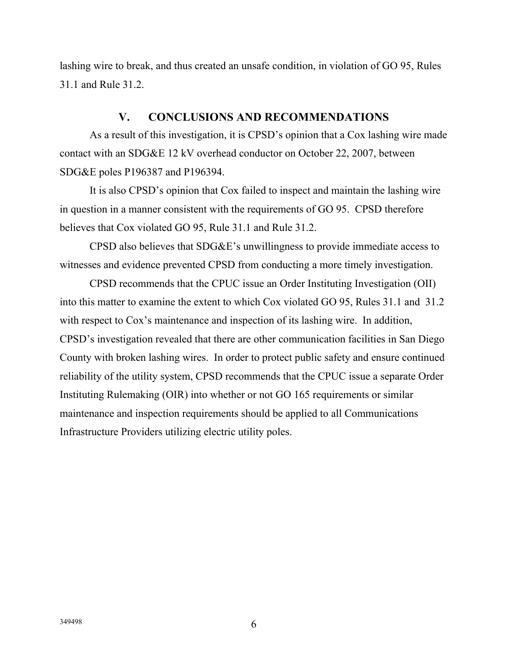lashing wire to break, and thus created an unsafe condition, in violation of GO 95, Rules 31.1 and Rule 31.2.

### **V. CONCLUSIONS AND RECOMMENDATIONS**

As a result of this investigation, it is CPSD's opinion that a Cox lashing wire made contact with an SDG&E 12 kV overhead conductor on October 22, 2007, between SDG&E poles P196387 and P196394.

It is also CPSD's opinion that Cox failed to inspect and maintain the lashing wire in question in a manner consistent with the requirements of GO 95. CPSD therefore believes that Cox violated GO 95, Rule 31.1 and Rule 31.2.

CPSD also believes that SDG&E's unwillingness to provide immediate access to witnesses and evidence prevented CPSD from conducting a more timely investigation.

CPSD recommends that the CPUC issue an Order Instituting Investigation (OII) into this matter to examine the extent to which Cox violated GO 95, Rules 31.1 and 31.2 with respect to Cox's maintenance and inspection of its lashing wire. In addition, CPSD's investigation revealed that there are other communication facilities in San Diego County with broken lashing wires. In order to protect public safety and ensure continued reliability of the utility system, CPSD recommends that the CPUC issue a separate Order Instituting Rulemaking (OIR) into whether or not GO 165 requirements or similar maintenance and inspection requirements should be applied to all Communications Infrastructure Providers utilizing electric utility poles.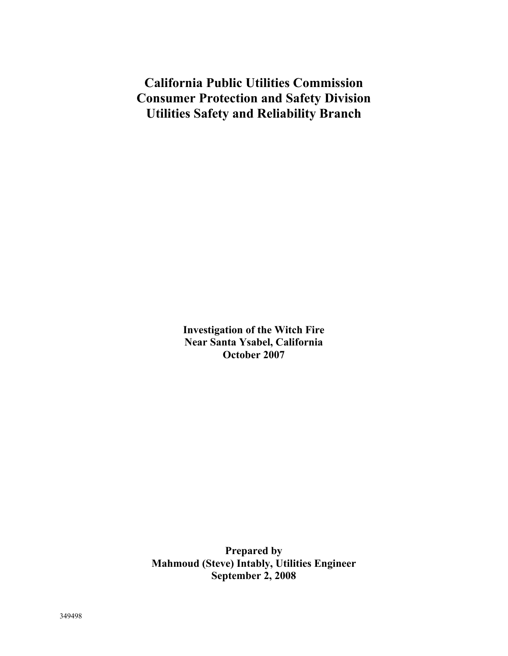**California Public Utilities Commission Consumer Protection and Safety Division Utilities Safety and Reliability Branch** 

> **Investigation of the Witch Fire Near Santa Ysabel, California October 2007**

**Prepared by Mahmoud (Steve) Intably, Utilities Engineer September 2, 2008**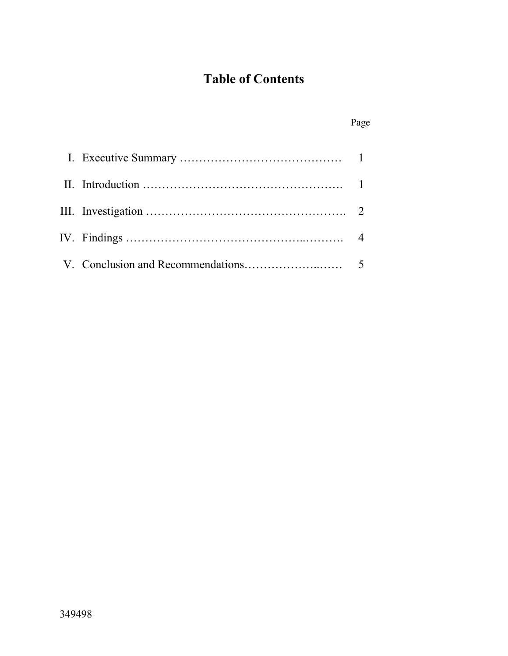# **Table of Contents**

|  | Page |
|--|------|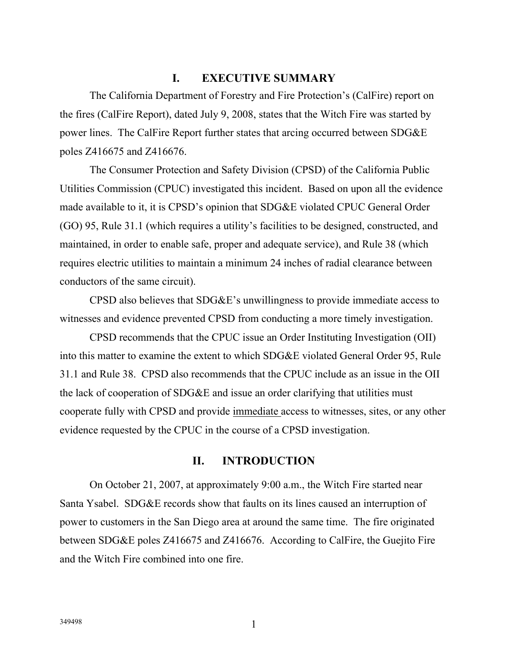#### **I. EXECUTIVE SUMMARY**

The California Department of Forestry and Fire Protection's (CalFire) report on the fires (CalFire Report), dated July 9, 2008, states that the Witch Fire was started by power lines. The CalFire Report further states that arcing occurred between SDG&E poles Z416675 and Z416676.

The Consumer Protection and Safety Division (CPSD) of the California Public Utilities Commission (CPUC) investigated this incident. Based on upon all the evidence made available to it, it is CPSD's opinion that SDG&E violated CPUC General Order (GO) 95, Rule 31.1 (which requires a utility's facilities to be designed, constructed, and maintained, in order to enable safe, proper and adequate service), and Rule 38 (which requires electric utilities to maintain a minimum 24 inches of radial clearance between conductors of the same circuit).

CPSD also believes that SDG&E's unwillingness to provide immediate access to witnesses and evidence prevented CPSD from conducting a more timely investigation.

CPSD recommends that the CPUC issue an Order Instituting Investigation (OII) into this matter to examine the extent to which SDG&E violated General Order 95, Rule 31.1 and Rule 38. CPSD also recommends that the CPUC include as an issue in the OII the lack of cooperation of SDG&E and issue an order clarifying that utilities must cooperate fully with CPSD and provide immediate access to witnesses, sites, or any other evidence requested by the CPUC in the course of a CPSD investigation.

#### **II. INTRODUCTION**

On October 21, 2007, at approximately 9:00 a.m., the Witch Fire started near Santa Ysabel. SDG&E records show that faults on its lines caused an interruption of power to customers in the San Diego area at around the same time. The fire originated between SDG&E poles Z416675 and Z416676. According to CalFire, the Guejito Fire and the Witch Fire combined into one fire.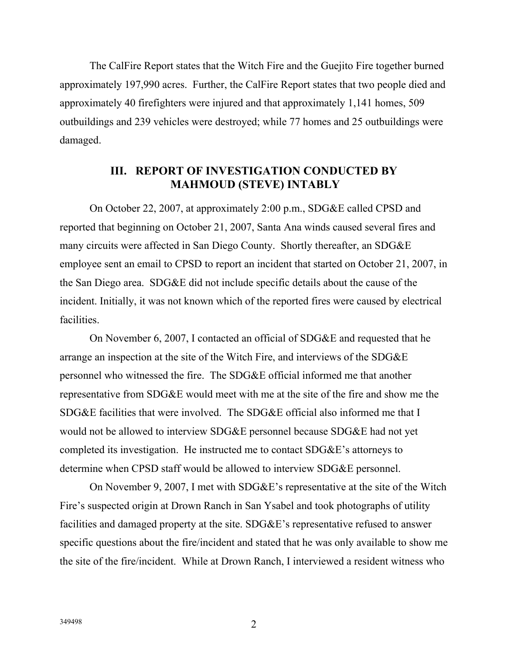The CalFire Report states that the Witch Fire and the Guejito Fire together burned approximately 197,990 acres. Further, the CalFire Report states that two people died and approximately 40 firefighters were injured and that approximately 1,141 homes, 509 outbuildings and 239 vehicles were destroyed; while 77 homes and 25 outbuildings were damaged.

#### **III. REPORT OF INVESTIGATION CONDUCTED BY MAHMOUD (STEVE) INTABLY**

On October 22, 2007, at approximately 2:00 p.m., SDG&E called CPSD and reported that beginning on October 21, 2007, Santa Ana winds caused several fires and many circuits were affected in San Diego County. Shortly thereafter, an SDG&E employee sent an email to CPSD to report an incident that started on October 21, 2007, in the San Diego area. SDG&E did not include specific details about the cause of the incident. Initially, it was not known which of the reported fires were caused by electrical facilities.

On November 6, 2007, I contacted an official of SDG&E and requested that he arrange an inspection at the site of the Witch Fire, and interviews of the SDG&E personnel who witnessed the fire. The SDG&E official informed me that another representative from SDG&E would meet with me at the site of the fire and show me the SDG&E facilities that were involved. The SDG&E official also informed me that I would not be allowed to interview SDG&E personnel because SDG&E had not yet completed its investigation. He instructed me to contact SDG&E's attorneys to determine when CPSD staff would be allowed to interview SDG&E personnel.

On November 9, 2007, I met with SDG&E's representative at the site of the Witch Fire's suspected origin at Drown Ranch in San Ysabel and took photographs of utility facilities and damaged property at the site. SDG&E's representative refused to answer specific questions about the fire/incident and stated that he was only available to show me the site of the fire/incident. While at Drown Ranch, I interviewed a resident witness who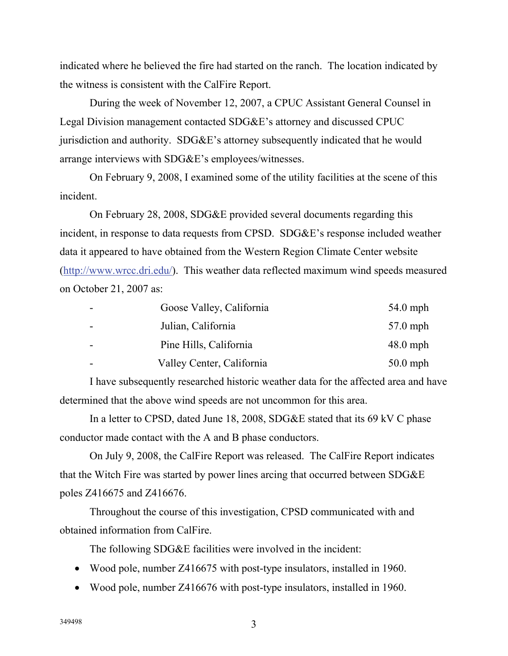indicated where he believed the fire had started on the ranch. The location indicated by the witness is consistent with the CalFire Report.

During the week of November 12, 2007, a CPUC Assistant General Counsel in Legal Division management contacted SDG&E's attorney and discussed CPUC jurisdiction and authority. SDG&E's attorney subsequently indicated that he would arrange interviews with SDG&E's employees/witnesses.

On February 9, 2008, I examined some of the utility facilities at the scene of this incident.

On February 28, 2008, SDG&E provided several documents regarding this incident, in response to data requests from CPSD. SDG&E's response included weather data it appeared to have obtained from the Western Region Climate Center website (http://www.wrcc.dri.edu/). This weather data reflected maximum wind speeds measured on October 21, 2007 as:

| Goose Valley, California  | $54.0$ mph |
|---------------------------|------------|
| Julian, California        | 57.0 mph   |
| Pine Hills, California    | $48.0$ mph |
| Valley Center, California | $50.0$ mph |

I have subsequently researched historic weather data for the affected area and have determined that the above wind speeds are not uncommon for this area.

In a letter to CPSD, dated June 18, 2008, SDG&E stated that its 69 kV C phase conductor made contact with the A and B phase conductors.

On July 9, 2008, the CalFire Report was released. The CalFire Report indicates that the Witch Fire was started by power lines arcing that occurred between SDG&E poles Z416675 and Z416676.

Throughout the course of this investigation, CPSD communicated with and obtained information from CalFire.

The following SDG&E facilities were involved in the incident:

- Wood pole, number Z416675 with post-type insulators, installed in 1960.
- Wood pole, number Z416676 with post-type insulators, installed in 1960.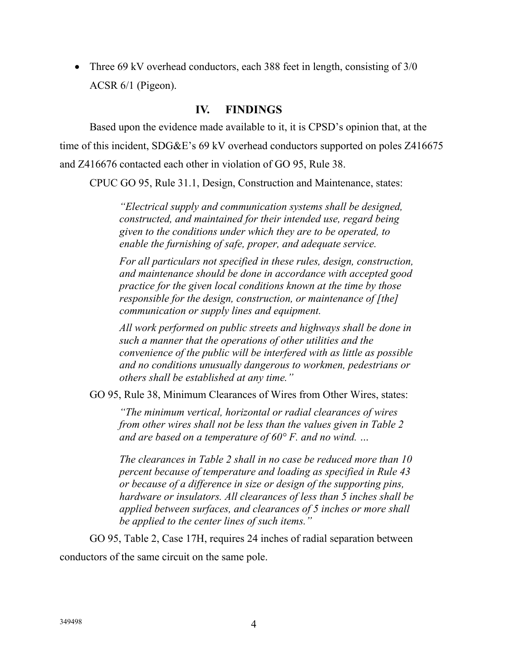• Three 69 kV overhead conductors, each 388 feet in length, consisting of 3/0 ACSR 6/1 (Pigeon).

#### **IV. FINDINGS**

Based upon the evidence made available to it, it is CPSD's opinion that, at the time of this incident, SDG&E's 69 kV overhead conductors supported on poles Z416675 and Z416676 contacted each other in violation of GO 95, Rule 38.

CPUC GO 95, Rule 31.1, Design, Construction and Maintenance, states:

*"Electrical supply and communication systems shall be designed, constructed, and maintained for their intended use, regard being given to the conditions under which they are to be operated, to enable the furnishing of safe, proper, and adequate service.* 

*For all particulars not specified in these rules, design, construction, and maintenance should be done in accordance with accepted good practice for the given local conditions known at the time by those responsible for the design, construction, or maintenance of [the] communication or supply lines and equipment.* 

*All work performed on public streets and highways shall be done in such a manner that the operations of other utilities and the convenience of the public will be interfered with as little as possible and no conditions unusually dangerous to workmen, pedestrians or others shall be established at any time."* 

GO 95, Rule 38, Minimum Clearances of Wires from Other Wires, states:

*"The minimum vertical, horizontal or radial clearances of wires from other wires shall not be less than the values given in Table 2 and are based on a temperature of 60° F. and no wind. …* 

*The clearances in Table 2 shall in no case be reduced more than 10 percent because of temperature and loading as specified in Rule 43 or because of a difference in size or design of the supporting pins, hardware or insulators. All clearances of less than 5 inches shall be applied between surfaces, and clearances of 5 inches or more shall be applied to the center lines of such items."* 

GO 95, Table 2, Case 17H, requires 24 inches of radial separation between

conductors of the same circuit on the same pole.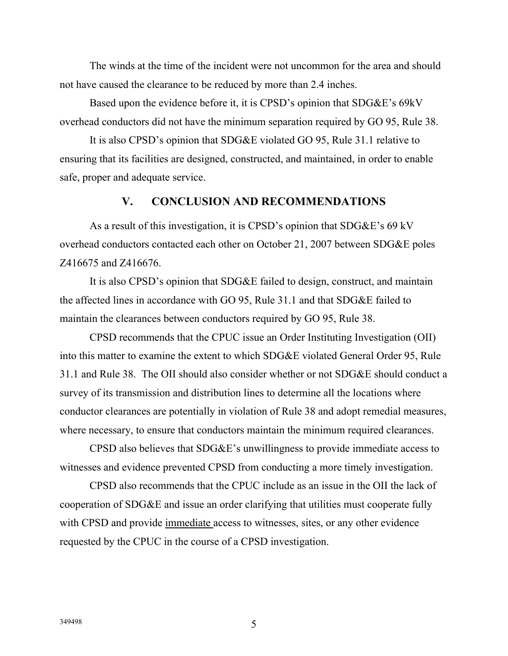The winds at the time of the incident were not uncommon for the area and should not have caused the clearance to be reduced by more than 2.4 inches.

Based upon the evidence before it, it is CPSD's opinion that SDG&E's 69kV overhead conductors did not have the minimum separation required by GO 95, Rule 38.

It is also CPSD's opinion that SDG&E violated GO 95, Rule 31.1 relative to ensuring that its facilities are designed, constructed, and maintained, in order to enable safe, proper and adequate service.

#### **V. CONCLUSION AND RECOMMENDATIONS**

As a result of this investigation, it is CPSD's opinion that SDG&E's 69 kV overhead conductors contacted each other on October 21, 2007 between SDG&E poles Z416675 and Z416676.

It is also CPSD's opinion that SDG&E failed to design, construct, and maintain the affected lines in accordance with GO 95, Rule 31.1 and that SDG&E failed to maintain the clearances between conductors required by GO 95, Rule 38.

CPSD recommends that the CPUC issue an Order Instituting Investigation (OII) into this matter to examine the extent to which SDG&E violated General Order 95, Rule 31.1 and Rule 38. The OII should also consider whether or not SDG&E should conduct a survey of its transmission and distribution lines to determine all the locations where conductor clearances are potentially in violation of Rule 38 and adopt remedial measures, where necessary, to ensure that conductors maintain the minimum required clearances.

CPSD also believes that SDG&E's unwillingness to provide immediate access to witnesses and evidence prevented CPSD from conducting a more timely investigation.

CPSD also recommends that the CPUC include as an issue in the OII the lack of cooperation of SDG&E and issue an order clarifying that utilities must cooperate fully with CPSD and provide immediate access to witnesses, sites, or any other evidence requested by the CPUC in the course of a CPSD investigation.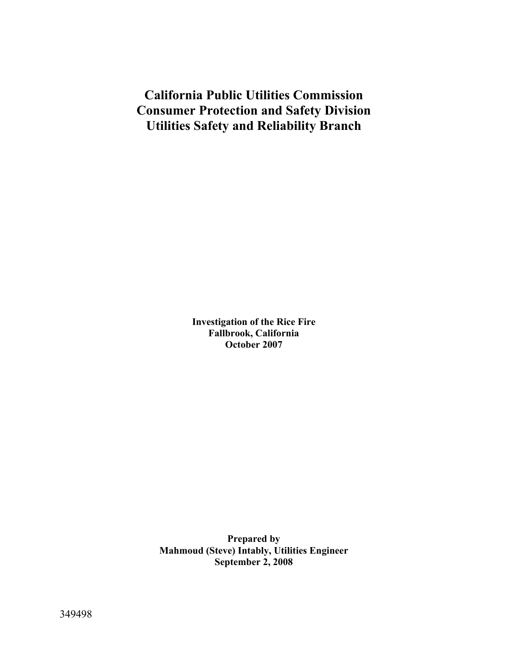# **California Public Utilities Commission Consumer Protection and Safety Division Utilities Safety and Reliability Branch**

**Investigation of the Rice Fire Fallbrook, California October 2007** 

**Prepared by Mahmoud (Steve) Intably, Utilities Engineer September 2, 2008**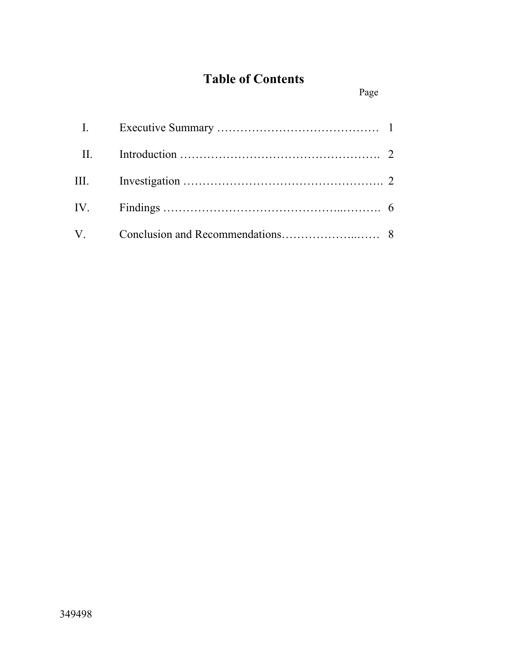# **Table of Contents**

Page

| $\mathbf{I}$ . |  |
|----------------|--|
| $\prod$ .      |  |
|                |  |
|                |  |
| $V_{\cdot}$    |  |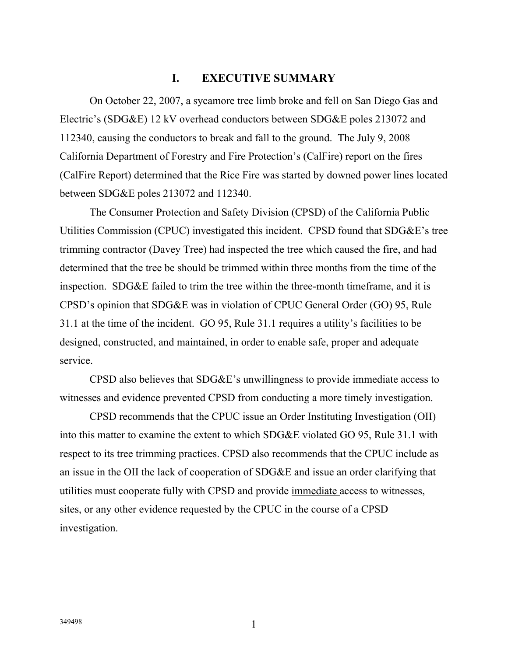#### **I. EXECUTIVE SUMMARY**

On October 22, 2007, a sycamore tree limb broke and fell on San Diego Gas and Electric's (SDG&E) 12 kV overhead conductors between SDG&E poles 213072 and 112340, causing the conductors to break and fall to the ground. The July 9, 2008 California Department of Forestry and Fire Protection's (CalFire) report on the fires (CalFire Report) determined that the Rice Fire was started by downed power lines located between SDG&E poles 213072 and 112340.

The Consumer Protection and Safety Division (CPSD) of the California Public Utilities Commission (CPUC) investigated this incident. CPSD found that SDG&E's tree trimming contractor (Davey Tree) had inspected the tree which caused the fire, and had determined that the tree be should be trimmed within three months from the time of the inspection. SDG&E failed to trim the tree within the three-month timeframe, and it is CPSD's opinion that SDG&E was in violation of CPUC General Order (GO) 95, Rule 31.1 at the time of the incident. GO 95, Rule 31.1 requires a utility's facilities to be designed, constructed, and maintained, in order to enable safe, proper and adequate service.

CPSD also believes that SDG&E's unwillingness to provide immediate access to witnesses and evidence prevented CPSD from conducting a more timely investigation.

CPSD recommends that the CPUC issue an Order Instituting Investigation (OII) into this matter to examine the extent to which SDG&E violated GO 95, Rule 31.1 with respect to its tree trimming practices. CPSD also recommends that the CPUC include as an issue in the OII the lack of cooperation of SDG&E and issue an order clarifying that utilities must cooperate fully with CPSD and provide immediate access to witnesses, sites, or any other evidence requested by the CPUC in the course of a CPSD investigation.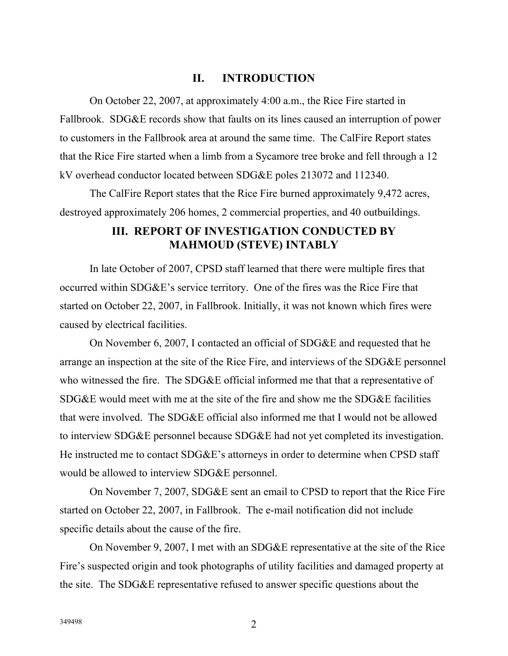#### **II. INTRODUCTION**

On October 22, 2007, at approximately 4:00 a.m., the Rice Fire started in Fallbrook. SDG&E records show that faults on its lines caused an interruption of power to customers in the Fallbrook area at around the same time. The CalFire Report states that the Rice Fire started when a limb from a Sycamore tree broke and fell through a 12 kV overhead conductor located between SDG&E poles 213072 and 112340.

The CalFire Report states that the Rice Fire burned approximately 9,472 acres, destroyed approximately 206 homes, 2 commercial properties, and 40 outbuildings.

#### **III. REPORT OF INVESTIGATION CONDUCTED BY MAHMOUD (STEVE) INTABLY**

In late October of 2007, CPSD staff learned that there were multiple fires that occurred within SDG&E's service territory. One of the fires was the Rice Fire that started on October 22, 2007, in Fallbrook. Initially, it was not known which fires were caused by electrical facilities.

On November 6, 2007, I contacted an official of SDG&E and requested that he arrange an inspection at the site of the Rice Fire, and interviews of the SDG&E personnel who witnessed the fire. The SDG&E official informed me that that a representative of SDG&E would meet with me at the site of the fire and show me the SDG&E facilities that were involved. The SDG&E official also informed me that I would not be allowed to interview SDG&E personnel because SDG&E had not yet completed its investigation. He instructed me to contact SDG&E's attorneys in order to determine when CPSD staff would be allowed to interview SDG&E personnel.

On November 7, 2007, SDG&E sent an email to CPSD to report that the Rice Fire started on October 22, 2007, in Fallbrook. The e-mail notification did not include specific details about the cause of the fire.

On November 9, 2007, I met with an SDG&E representative at the site of the Rice Fire's suspected origin and took photographs of utility facilities and damaged property at the site. The SDG&E representative refused to answer specific questions about the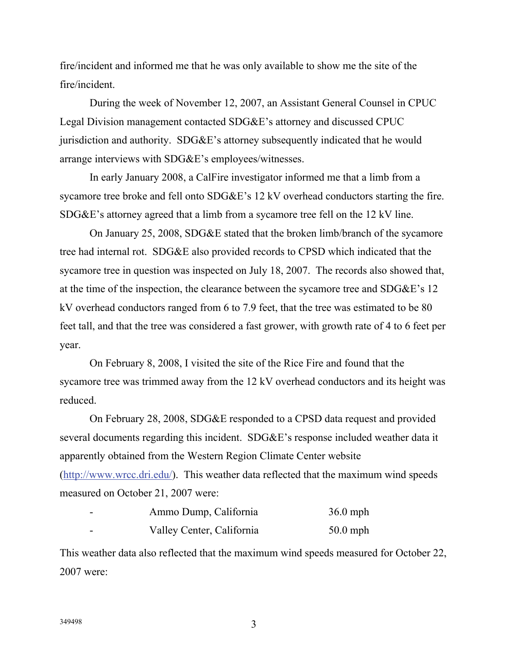fire/incident and informed me that he was only available to show me the site of the fire/incident.

During the week of November 12, 2007, an Assistant General Counsel in CPUC Legal Division management contacted SDG&E's attorney and discussed CPUC jurisdiction and authority. SDG&E's attorney subsequently indicated that he would arrange interviews with SDG&E's employees/witnesses.

In early January 2008, a CalFire investigator informed me that a limb from a sycamore tree broke and fell onto SDG&E's 12 kV overhead conductors starting the fire. SDG&E's attorney agreed that a limb from a sycamore tree fell on the 12 kV line.

On January 25, 2008, SDG&E stated that the broken limb/branch of the sycamore tree had internal rot. SDG&E also provided records to CPSD which indicated that the sycamore tree in question was inspected on July 18, 2007. The records also showed that, at the time of the inspection, the clearance between the sycamore tree and SDG&E's 12 kV overhead conductors ranged from 6 to 7.9 feet, that the tree was estimated to be 80 feet tall, and that the tree was considered a fast grower, with growth rate of 4 to 6 feet per year.

On February 8, 2008, I visited the site of the Rice Fire and found that the sycamore tree was trimmed away from the 12 kV overhead conductors and its height was reduced.

On February 28, 2008, SDG&E responded to a CPSD data request and provided several documents regarding this incident. SDG&E's response included weather data it apparently obtained from the Western Region Climate Center website (http://www.wrcc.dri.edu/). This weather data reflected that the maximum wind speeds measured on October 21, 2007 were:

| - - | Ammo Dump, California     | $36.0$ mph |
|-----|---------------------------|------------|
| --  | Valley Center, California | $50.0$ mph |

This weather data also reflected that the maximum wind speeds measured for October 22, 2007 were: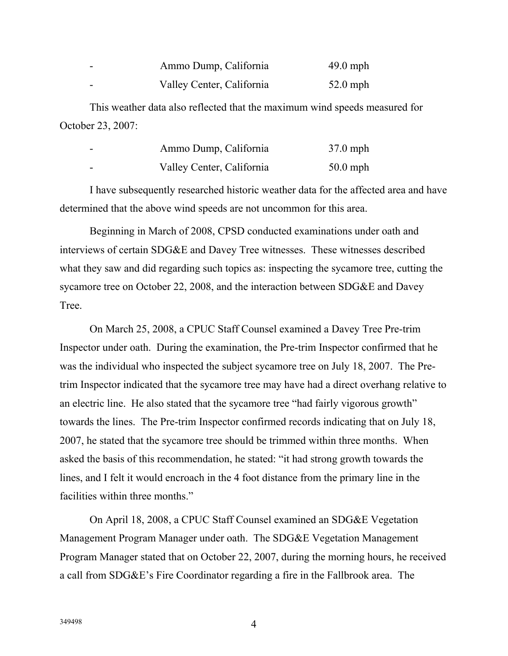| $\overline{\phantom{0}}$ | Ammo Dump, California     | $49.0$ mph |
|--------------------------|---------------------------|------------|
| $\overline{\phantom{0}}$ | Valley Center, California | $52.0$ mph |

This weather data also reflected that the maximum wind speeds measured for October 23, 2007:

| Ammo Dump, California     | $37.0$ mph |
|---------------------------|------------|
| Valley Center, California | $50.0$ mph |

I have subsequently researched historic weather data for the affected area and have determined that the above wind speeds are not uncommon for this area.

Beginning in March of 2008, CPSD conducted examinations under oath and interviews of certain SDG&E and Davey Tree witnesses. These witnesses described what they saw and did regarding such topics as: inspecting the sycamore tree, cutting the sycamore tree on October 22, 2008, and the interaction between SDG&E and Davey Tree.

On March 25, 2008, a CPUC Staff Counsel examined a Davey Tree Pre-trim Inspector under oath. During the examination, the Pre-trim Inspector confirmed that he was the individual who inspected the subject sycamore tree on July 18, 2007. The Pretrim Inspector indicated that the sycamore tree may have had a direct overhang relative to an electric line. He also stated that the sycamore tree "had fairly vigorous growth" towards the lines. The Pre-trim Inspector confirmed records indicating that on July 18, 2007, he stated that the sycamore tree should be trimmed within three months. When asked the basis of this recommendation, he stated: "it had strong growth towards the lines, and I felt it would encroach in the 4 foot distance from the primary line in the facilities within three months."

On April 18, 2008, a CPUC Staff Counsel examined an SDG&E Vegetation Management Program Manager under oath. The SDG&E Vegetation Management Program Manager stated that on October 22, 2007, during the morning hours, he received a call from SDG&E's Fire Coordinator regarding a fire in the Fallbrook area. The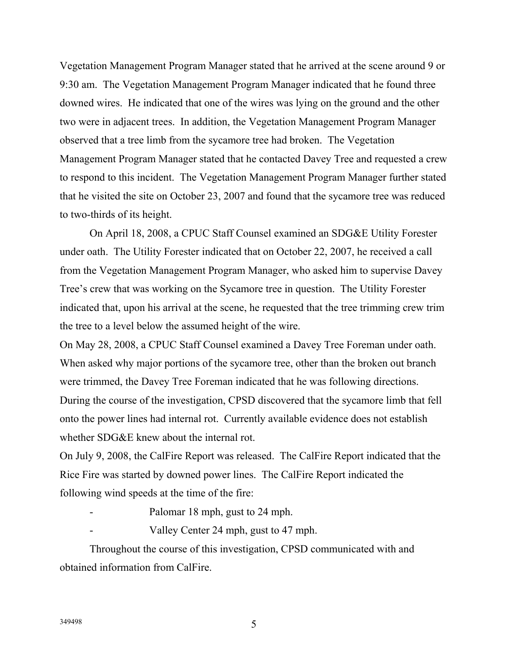Vegetation Management Program Manager stated that he arrived at the scene around 9 or 9:30 am. The Vegetation Management Program Manager indicated that he found three downed wires. He indicated that one of the wires was lying on the ground and the other two were in adjacent trees. In addition, the Vegetation Management Program Manager observed that a tree limb from the sycamore tree had broken. The Vegetation Management Program Manager stated that he contacted Davey Tree and requested a crew to respond to this incident. The Vegetation Management Program Manager further stated that he visited the site on October 23, 2007 and found that the sycamore tree was reduced to two-thirds of its height.

On April 18, 2008, a CPUC Staff Counsel examined an SDG&E Utility Forester under oath. The Utility Forester indicated that on October 22, 2007, he received a call from the Vegetation Management Program Manager, who asked him to supervise Davey Tree's crew that was working on the Sycamore tree in question. The Utility Forester indicated that, upon his arrival at the scene, he requested that the tree trimming crew trim the tree to a level below the assumed height of the wire.

On May 28, 2008, a CPUC Staff Counsel examined a Davey Tree Foreman under oath. When asked why major portions of the sycamore tree, other than the broken out branch were trimmed, the Davey Tree Foreman indicated that he was following directions. During the course of the investigation, CPSD discovered that the sycamore limb that fell onto the power lines had internal rot. Currently available evidence does not establish whether SDG&E knew about the internal rot.

On July 9, 2008, the CalFire Report was released. The CalFire Report indicated that the Rice Fire was started by downed power lines. The CalFire Report indicated the following wind speeds at the time of the fire:

- Palomar 18 mph, gust to 24 mph.
	- Valley Center 24 mph, gust to 47 mph.

Throughout the course of this investigation, CPSD communicated with and obtained information from CalFire.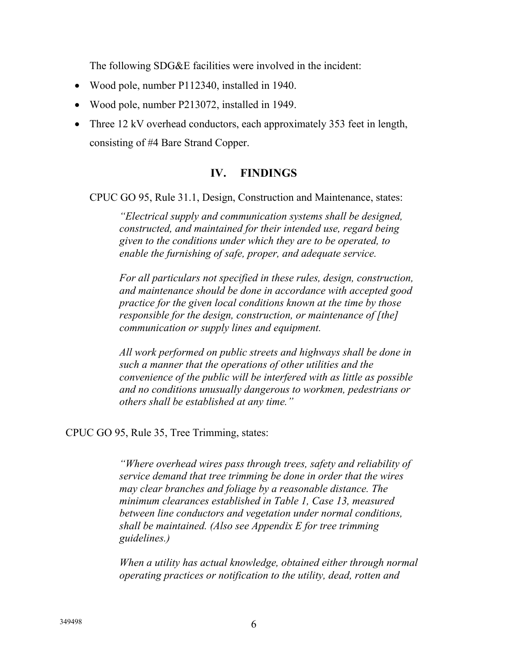The following SDG&E facilities were involved in the incident:

- Wood pole, number P112340, installed in 1940.
- Wood pole, number P213072, installed in 1949.
- Three 12 kV overhead conductors, each approximately 353 feet in length, consisting of #4 Bare Strand Copper.

## **IV. FINDINGS**

CPUC GO 95, Rule 31.1, Design, Construction and Maintenance, states:

*"Electrical supply and communication systems shall be designed, constructed, and maintained for their intended use, regard being given to the conditions under which they are to be operated, to enable the furnishing of safe, proper, and adequate service.* 

*For all particulars not specified in these rules, design, construction, and maintenance should be done in accordance with accepted good practice for the given local conditions known at the time by those responsible for the design, construction, or maintenance of [the] communication or supply lines and equipment.* 

*All work performed on public streets and highways shall be done in such a manner that the operations of other utilities and the convenience of the public will be interfered with as little as possible and no conditions unusually dangerous to workmen, pedestrians or others shall be established at any time."* 

#### CPUC GO 95, Rule 35, Tree Trimming, states:

*"Where overhead wires pass through trees, safety and reliability of service demand that tree trimming be done in order that the wires may clear branches and foliage by a reasonable distance. The minimum clearances established in Table 1, Case 13, measured between line conductors and vegetation under normal conditions, shall be maintained. (Also see Appendix E for tree trimming guidelines.)* 

*When a utility has actual knowledge, obtained either through normal operating practices or notification to the utility, dead, rotten and*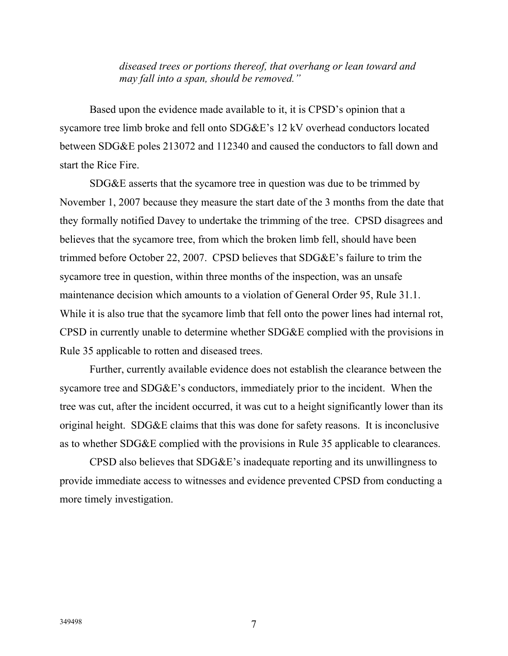*diseased trees or portions thereof, that overhang or lean toward and may fall into a span, should be removed."* 

Based upon the evidence made available to it, it is CPSD's opinion that a sycamore tree limb broke and fell onto SDG&E's 12 kV overhead conductors located between SDG&E poles 213072 and 112340 and caused the conductors to fall down and start the Rice Fire.

SDG&E asserts that the sycamore tree in question was due to be trimmed by November 1, 2007 because they measure the start date of the 3 months from the date that they formally notified Davey to undertake the trimming of the tree. CPSD disagrees and believes that the sycamore tree, from which the broken limb fell, should have been trimmed before October 22, 2007. CPSD believes that SDG&E's failure to trim the sycamore tree in question, within three months of the inspection, was an unsafe maintenance decision which amounts to a violation of General Order 95, Rule 31.1. While it is also true that the sycamore limb that fell onto the power lines had internal rot, CPSD in currently unable to determine whether SDG&E complied with the provisions in Rule 35 applicable to rotten and diseased trees.

Further, currently available evidence does not establish the clearance between the sycamore tree and SDG&E's conductors, immediately prior to the incident. When the tree was cut, after the incident occurred, it was cut to a height significantly lower than its original height. SDG&E claims that this was done for safety reasons. It is inconclusive as to whether SDG&E complied with the provisions in Rule 35 applicable to clearances.

CPSD also believes that SDG&E's inadequate reporting and its unwillingness to provide immediate access to witnesses and evidence prevented CPSD from conducting a more timely investigation.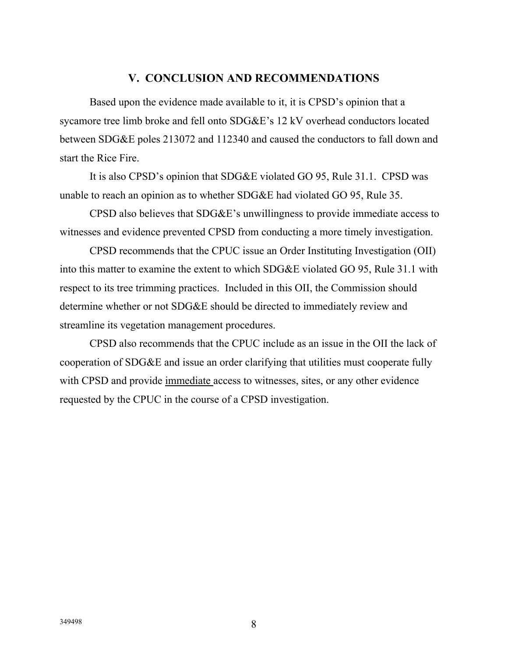#### **V. CONCLUSION AND RECOMMENDATIONS**

Based upon the evidence made available to it, it is CPSD's opinion that a sycamore tree limb broke and fell onto SDG&E's 12 kV overhead conductors located between SDG&E poles 213072 and 112340 and caused the conductors to fall down and start the Rice Fire.

It is also CPSD's opinion that SDG&E violated GO 95, Rule 31.1. CPSD was unable to reach an opinion as to whether SDG&E had violated GO 95, Rule 35.

CPSD also believes that SDG&E's unwillingness to provide immediate access to witnesses and evidence prevented CPSD from conducting a more timely investigation.

CPSD recommends that the CPUC issue an Order Instituting Investigation (OII) into this matter to examine the extent to which SDG&E violated GO 95, Rule 31.1 with respect to its tree trimming practices. Included in this OII, the Commission should determine whether or not SDG&E should be directed to immediately review and streamline its vegetation management procedures.

CPSD also recommends that the CPUC include as an issue in the OII the lack of cooperation of SDG&E and issue an order clarifying that utilities must cooperate fully with CPSD and provide immediate access to witnesses, sites, or any other evidence requested by the CPUC in the course of a CPSD investigation.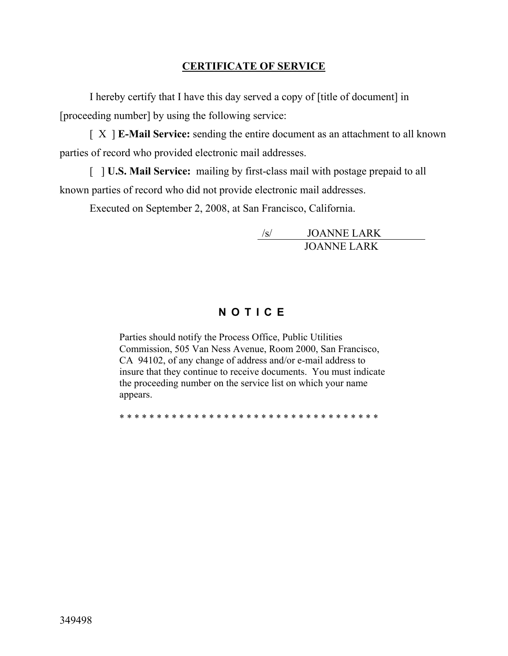## **CERTIFICATE OF SERVICE**

I hereby certify that I have this day served a copy of [title of document] in [proceeding number] by using the following service:

[ X ] **E-Mail Service:** sending the entire document as an attachment to all known parties of record who provided electronic mail addresses.

[ ] **U.S. Mail Service:** mailing by first-class mail with postage prepaid to all known parties of record who did not provide electronic mail addresses.

Executed on September 2, 2008, at San Francisco, California.

/s/ JOANNE LARK JOANNE LARK

# **NOTICE**

Parties should notify the Process Office, Public Utilities Commission, 505 Van Ness Avenue, Room 2000, San Francisco, CA 94102, of any change of address and/or e-mail address to insure that they continue to receive documents. You must indicate the proceeding number on the service list on which your name appears.

\* \* \* \* \* \* \* \* \* \* \* \* \* \* \* \* \* \* \* \* \* \* \* \* \* \* \* \* \* \* \* \* \* \* \*